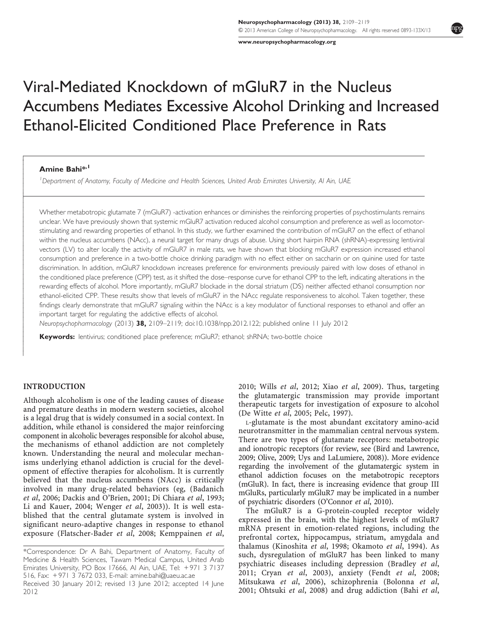www.neuropsychopharmacology.org

# Viral-Mediated Knockdown of mGluR7 in the Nucleus Accumbens Mediates Excessive Alcohol Drinking and Increased Ethanol-Elicited Conditioned Place Preference in Rats

#### Amine Bahi<sup>\*,1</sup>

 $\sqrt{ }$  $\downarrow$  $\overline{\phantom{a}}$  $\overline{\phantom{a}}$  $\overline{\phantom{a}}$  $\overline{\phantom{a}}$  $\overline{\phantom{a}}$  $\overline{\phantom{a}}$ - $\overline{\phantom{a}}$  $\overline{\phantom{a}}$  $\overline{\phantom{a}}$  $\overline{\phantom{a}}$  $\overline{\phantom{a}}$  $\overline{\phantom{a}}$  $\overline{\phantom{a}}$  $\overline{\phantom{a}}$  $\overline{\phantom{a}}$  $\overline{\phantom{a}}$  $\overline{\phantom{a}}$  $\overline{\phantom{a}}$  $\overline{\phantom{a}}$  $\overline{\phantom{a}}$  $\overline{\phantom{a}}$  $\overline{\phantom{a}}$  $\overline{\phantom{a}}$  $\overline{\phantom{a}}$  $\overline{\phantom{a}}$  $\overline{\phantom{a}}$  $\overline{\phantom{a}}$  $\overline{\phantom{a}}$  $\overline{\phantom{a}}$  $\overline{\phantom{a}}$  $\overline{\phantom{a}}$  $\overline{\phantom{a}}$  $\overline{\phantom{a}}$  $\overline{\phantom{a}}$  $\overline{\phantom{a}}$  $\overline{\phantom{a}}$  $\overline{\phantom{a}}$  $\overline{\phantom{a}}$ -

<sup>1</sup>Department of Anatomy, Faculty of Medicine and Health Sciences, United Arab Emirates University, Al Ain, UAE

Whether metabotropic glutamate 7 (mGluR7) -activation enhances or diminishes the reinforcing properties of psychostimulants remains unclear. We have previously shown that systemic mGluR7 activation reduced alcohol consumption and preference as well as locomotorstimulating and rewarding properties of ethanol. In this study, we further examined the contribution of mGluR7 on the effect of ethanol within the nucleus accumbens (NAcc), a neural target for many drugs of abuse. Using short hairpin RNA (shRNA)-expressing lentiviral vectors (LV) to alter locally the activity of mGluR7 in male rats, we have shown that blocking mGluR7 expression increased ethanol consumption and preference in a two-bottle choice drinking paradigm with no effect either on saccharin or on quinine used for taste discrimination. In addition, mGluR7 knockdown increases preference for environments previously paired with low doses of ethanol in the conditioned place preference (CPP) test, as it shifted the dose–response curve for ethanol CPP to the left, indicating alterations in the rewarding effects of alcohol. More importantly, mGluR7 blockade in the dorsal striatum (DS) neither affected ethanol consumption nor ethanol-elicited CPP. These results show that levels of mGluR7 in the NAcc regulate responsiveness to alcohol. Taken together, these findings clearly demonstrate that mGluR7 signaling within the NAcc is a key modulator of functional responses to ethanol and offer an important target for regulating the addictive effects of alcohol.

Neuropsychopharmacology (2013) 38, 2109–2119; doi:10.1038/npp.2012.122; published online 11 July 2012

Keywords: lentivirus; conditioned place preference; mGluR7; ethanol; shRNA; two-bottle choice

#### INTRODUCTION

Although alcoholism is one of the leading causes of disease and premature deaths in modern western societies, alcohol is a legal drug that is widely consumed in a social context. In addition, while ethanol is considered the major reinforcing component in alcoholic beverages responsible for alcohol abuse, the mechanisms of ethanol addiction are not completely known. Understanding the neural and molecular mechanisms underlying ethanol addiction is crucial for the development of effective therapies for alcoholism. It is currently believed that the nucleus accumbens (NAcc) is critically involved in many drug-related behaviors (eg, (Badanich et al, 2006; Dackis and O'Brien, 2001; Di Chiara et al, 1993; Li and Kauer, 2004; Wenger *et al*, 2003)). It is well established that the central glutamate system is involved in significant neuro-adaptive changes in response to ethanol exposure (Flatscher-Bader et al, 2008; Kemppainen et al,

2010; Wills et al, 2012; Xiao et al, 2009). Thus, targeting the glutamatergic transmission may provide important therapeutic targets for investigation of exposure to alcohol (De Witte et al, 2005; Pelc, 1997).

<sup>L</sup>-glutamate is the most abundant excitatory amino-acid neurotransmitter in the mammalian central nervous system. There are two types of glutamate receptors: metabotropic and ionotropic receptors (for review, see (Bird and Lawrence, 2009; Olive, 2009; Uys and LaLumiere, 2008)). More evidence regarding the involvement of the glutamatergic system in ethanol addiction focuses on the metabotropic receptors (mGluR). In fact, there is increasing evidence that group III mGluRs, particularly mGluR7 may be implicated in a number of psychiatric disorders (O'Connor et al, 2010).

The mGluR7 is a G-protein-coupled receptor widely expressed in the brain, with the highest levels of mGluR7 mRNA present in emotion-related regions, including the prefrontal cortex, hippocampus, striatum, amygdala and thalamus (Kinoshita et al, 1998; Okamoto et al, 1994). As such, dysregulation of mGluR7 has been linked to many psychiatric diseases including depression (Bradley et al, 2011; Cryan et al, 2003), anxiety (Fendt et al, 2008; Mitsukawa et al, 2006), schizophrenia (Bolonna et al, 2001; Ohtsuki et al, 2008) and drug addiction (Bahi et al,



<sup>\*</sup>Correspondence: Dr A Bahi, Department of Anatomy, Faculty of Medicine & Health Sciences, Tawam Medical Campus, United Arab Emirates University, PO Box 17666, Al Ain, UAE, Tel: + 971 3 7137 516, Fax: + 971 3 7672 033, E-mail: amine.bahi@uaeu.ac.ae

Received 30 January 2012; revised 13 June 2012; accepted 14 June 2012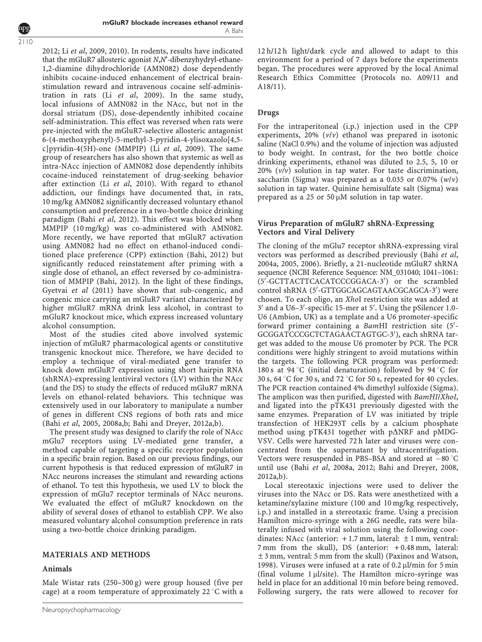2110

2012; Li et al, 2009, 2010). In rodents, results have indicated that the mGluR7 allosteric agonist N,N'-dibenzyhydryl-ethane-1,2-diamine dihydrochloride (AMN082) dose dependently inhibits cocaine-induced enhancement of electrical brainstimulation reward and intravenous cocaine self-administration in rats (Li et al, 2009). In the same study, local infusions of AMN082 in the NAcc, but not in the dorsal striatum (DS), dose-dependently inhibited cocaine self-administration. This effect was reversed when rats were pre-injected with the mGluR7-selective allosteric antagonist 6-(4-methoxyphenyl)-5-methyl-3-pyridin-4-ylisoxazolo[4,5 c]pyridin-4(5H)-one (MMPIP) (Li et al, 2009). The same group of researchers has also shown that systemic as well as intra-NAcc injection of AMN082 dose dependently inhibits cocaine-induced reinstatement of drug-seeking behavior after extinction (Li et al, 2010). With regard to ethanol addiction, our findings have documented that, in rats, 10 mg/kg AMN082 significantly decreased voluntary ethanol consumption and preference in a two-bottle choice drinking paradigm (Bahi et al, 2012). This effect was blocked when MMPIP (10 mg/kg) was co-administered with AMN082. More recently, we have reported that mGluR7 activation using AMN082 had no effect on ethanol-induced conditioned place preference (CPP) extinction (Bahi, 2012) but significantly reduced reinstatement after priming with a single dose of ethanol, an effect reversed by co-administration of MMPIP (Bahi, 2012). In the light of these findings, Gyetvai et al (2011) have shown that sub-congenic, and congenic mice carrying an mGluR7 variant characterized by higher mGluR7 mRNA drink less alcohol, in contrast to mGluR7 knockout mice, which express increased voluntary alcohol consumption.

Most of the studies cited above involved systemic injection of mGluR7 pharmacological agents or constitutive transgenic knockout mice. Therefore, we have decided to employ a technique of viral-mediated gene transfer to knock down mGluR7 expression using short hairpin RNA (shRNA)-expressing lentiviral vectors (LV) within the NAcc (and the DS) to study the effects of reduced mGluR7 mRNA levels on ethanol-related behaviors. This technique was extensively used in our laboratory to manipulate a number of genes in different CNS regions of both rats and mice (Bahi et al, 2005, 2008a,b; Bahi and Dreyer, 2012a,b).

The present study was designed to clarify the role of NAcc mGlu7 receptors using LV-mediated gene transfer, a method capable of targeting a specific receptor population in a specific brain region. Based on our previous findings, our current hypothesis is that reduced expression of mGluR7 in NAcc neurons increases the stimulant and rewarding actions of ethanol. To test this hypothesis, we used LV to block the expression of mGlu7 receptor terminals of NAcc neurons. We evaluated the effect of mGluR7 knockdown on the ability of several doses of ethanol to establish CPP. We also measured voluntary alcohol consumption preference in rats using a two-bottle choice drinking paradigm.

# MATERIALS AND METHODS

#### Animals

Male Wistar rats (250–300 g) were group housed (five per cage) at a room temperature of approximately  $22^{\circ}C$  with a

12 h/12 h light/dark cycle and allowed to adapt to this environment for a period of 7 days before the experiments began. The procedures were approved by the local Animal Research Ethics Committee (Protocols no. A09/11 and A18/11).

# Drugs

For the intraperitoneal (i.p.) injection used in the CPP experiments,  $20\%$  ( $v/v$ ) ethanol was prepared in isotonic saline (NaCl 0.9%) and the volume of injection was adjusted to body weight. In contrast, for the two bottle choice drinking experiments, ethanol was diluted to 2.5, 5, 10 or 20%  $(v/v)$  solution in tap water. For taste discrimination, saccharin (Sigma) was prepared as a 0.035 or 0.07%  $(w/v)$ solution in tap water. Quinine hemisulfate salt (Sigma) was prepared as a  $25$  or  $50 \mu M$  solution in tap water.

# Virus Preparation of mGluR7 shRNA-Expressing Vectors and Viral Delivery

The cloning of the mGlu7 receptor shRNA-expressing viral vectors was performed as described previously (Bahi et al, 2004a, 2005, 2006). Briefly, a 21-nucleotide mGluR7 shRNA sequence (NCBI Reference Sequence: NM\_031040; 1041–1061: (5'-GCTTACTTCACATCCCGGACA-3') or the scrambled control shRNA (5'-GTTGGCAGCAGTAACGCAGCA-3') were chosen. To each oligo, an XhoI restriction site was added at 3' and a U6-3'-specific 15-mer at 5'. Using the pSilencer 1.0-U6 (Ambion, UK) as a template and a U6 promoter-specific forward primer containing a BamHI restriction site (5'-GCGGATCCCGCTCTAGAACTAGTGC-3'), each shRNA target was added to the mouse U6 promoter by PCR. The PCR conditions were highly stringent to avoid mutations within the targets. The following PCR program was performed: 180 s at 94 °C (initial denaturation) followed by 94 °C for 30 s, 64  $\degree$ C for 30 s, and 72  $\degree$ C for 50 s, repeated for 40 cycles. The PCR reaction contained 4% dimethyl sulfoxide (Sigma). The amplicon was then purified, digested with BamHI/XhoI, and ligated into the pTK431 previously digested with the same enzymes. Preparation of LV was initiated by triple transfection of HEK293T cells by a calcium phosphate method using pTK431 together with p $\triangle$ NRF and pMDG-VSV. Cells were harvested 72 h later and viruses were concentrated from the supernatant by ultracentrifugation. Vectors were resuspended in PBS-BSA and stored at  $-80^{\circ}$ C until use (Bahi et al, 2008a, 2012; Bahi and Dreyer, 2008, 2012a,b).

Local stereotaxic injections were used to deliver the viruses into the NAcc or DS. Rats were anesthetized with a ketamine/xylazine mixture (100 and 10 mg/kg respectively, i.p.) and installed in a stereotaxic frame. Using a precision Hamilton micro-syringe with a 26G needle, rats were bilaterally infused with viral solution using the following coordinates: NAcc (anterior:  $+1.7$  mm, lateral:  $\pm 1$  mm, ventral: 7 mm from the skull), DS (anterior: + 0.48 mm, lateral: ±3 mm, ventral: 5 mm from the skull) (Paxinos and Watson, 1998). Viruses were infused at a rate of  $0.2 \mu$ l/min for 5 min (final volume  $1 \mu l / site$ ). The Hamilton micro-syringe was held in place for an additional 10 min before being removed. Following surgery, the rats were allowed to recover for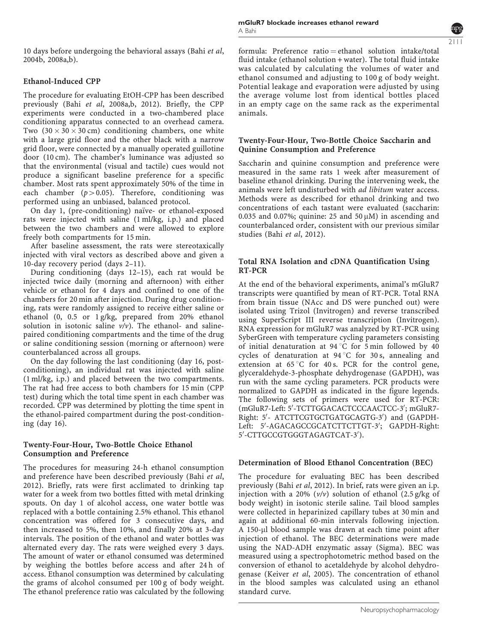10 days before undergoing the behavioral assays (Bahi et al, 2004b, 2008a,b).

#### Ethanol-Induced CPP

The procedure for evaluating EtOH-CPP has been described previously (Bahi et al, 2008a,b, 2012). Briefly, the CPP experiments were conducted in a two-chambered place conditioning apparatus connected to an overhead camera. Two  $(30 \times 30 \times 30 \text{ cm})$  conditioning chambers, one white with a large grid floor and the other black with a narrow grid floor, were connected by a manually operated guillotine door (10 cm). The chamber's luminance was adjusted so that the environmental (visual and tactile) cues would not produce a significant baseline preference for a specific chamber. Most rats spent approximately 50% of the time in each chamber  $(p>0.05)$ . Therefore, conditioning was performed using an unbiased, balanced protocol.

On day 1, (pre-conditioning) naïve- or ethanol-exposed rats were injected with saline (1 ml/kg, i.p.) and placed between the two chambers and were allowed to explore freely both compartments for 15 min.

After baseline assessment, the rats were stereotaxically injected with viral vectors as described above and given a 10-day recovery period (days 2–11).

During conditioning (days 12–15), each rat would be injected twice daily (morning and afternoon) with either vehicle or ethanol for 4 days and confined to one of the chambers for 20 min after injection. During drug conditioning, rats were randomly assigned to receive either saline or ethanol (0, 0.5 or 1 g/kg, prepared from 20% ethanol solution in isotonic saline  $v/v$ ). The ethanol- and salinepaired conditioning compartments and the time of the drug or saline conditioning session (morning or afternoon) were counterbalanced across all groups.

On the day following the last conditioning (day 16, postconditioning), an individual rat was injected with saline (1 ml/kg, i.p.) and placed between the two compartments. The rat had free access to both chambers for 15 min (CPP test) during which the total time spent in each chamber was recorded. CPP was determined by plotting the time spent in the ethanol-paired compartment during the post-conditioning (day 16).

#### Twenty-Four-Hour, Two-Bottle Choice Ethanol Consumption and Preference

The procedures for measuring 24-h ethanol consumption and preference have been described previously (Bahi et al, 2012). Briefly, rats were first acclimated to drinking tap water for a week from two bottles fitted with metal drinking spouts. On day 1 of alcohol access, one water bottle was replaced with a bottle containing 2.5% ethanol. This ethanol concentration was offered for 3 consecutive days, and then increased to 5%, then 10%, and finally 20% at 3-day intervals. The position of the ethanol and water bottles was alternated every day. The rats were weighed every 3 days. The amount of water or ethanol consumed was determined by weighing the bottles before access and after 24 h of access. Ethanol consumption was determined by calculating the grams of alcohol consumed per 100 g of body weight. The ethanol preference ratio was calculated by the following

formula: Preference ratio  $=$  ethanol solution intake/total fluid intake (ethanol solution + water). The total fluid intake was calculated by calculating the volumes of water and ethanol consumed and adjusting to 100 g of body weight. Potential leakage and evaporation were adjusted by using the average volume lost from identical bottles placed in an empty cage on the same rack as the experimental animals.

#### Twenty-Four-Hour, Two-Bottle Choice Saccharin and Quinine Consumption and Preference

Saccharin and quinine consumption and preference were measured in the same rats 1 week after measurement of baseline ethanol drinking. During the intervening week, the animals were left undisturbed with ad libitum water access. Methods were as described for ethanol drinking and two concentrations of each tastant were evaluated (saccharin: 0.035 and 0.07%; quinine: 25 and 50  $\mu$ M) in ascending and counterbalanced order, consistent with our previous similar studies (Bahi et al, 2012).

## Total RNA Isolation and cDNA Quantification Using RT-PCR

At the end of the behavioral experiments, animal's mGluR7 transcripts were quantified by mean of RT-PCR. Total RNA from brain tissue (NAcc and DS were punched out) were isolated using Trizol (Invitrogen) and reverse transcribed using SuperScript III reverse transcription (Invitrogen). RNA expression for mGluR7 was analyzed by RT-PCR using SyberGreen with temperature cycling parameters consisting of initial denaturation at  $94^{\circ}$ C for 5 min followed by 40 cycles of denaturation at  $94^{\circ}$ C for 30 s, annealing and extension at  $65^{\circ}$ C for 40 s. PCR for the control gene, glyceraldehyde-3-phosphate dehydrogenase (GAPDH), was run with the same cycling parameters. PCR products were normalized to GAPDH as indicated in the figure legends. The following sets of primers were used for RT-PCR: (mGluR7-Left: 5'-TCTTGGACACTCCCAACTCC-3'; mGluR7-Right: 5'- ATCTTCGTGCTGATGCAGTG-3') and (GAPDH-Left: 5'-AGACAGCCGCATCTTCTTGT-3'; GAPDH-Right: 5'-CTTGCCGTGGGTAGAGTCAT-3').

#### Determination of Blood Ethanol Concentration (BEC)

The procedure for evaluating BEC has been described previously (Bahi et al, 2012). In brief, rats were given an i.p. injection with a 20%  $(v/v)$  solution of ethanol  $(2.5 \text{ g/kg of})$ body weight) in isotonic sterile saline. Tail blood samples were collected in heparinized capillary tubes at 30 min and again at additional 60-min intervals following injection. A 150-µl blood sample was drawn at each time point after injection of ethanol. The BEC determinations were made using the NAD-ADH enzymatic assay (Sigma). BEC was measured using a spectrophotometric method based on the conversion of ethanol to acetaldehyde by alcohol dehydrogenase (Keiver et al, 2005). The concentration of ethanol in the blood samples was calculated using an ethanol standard curve.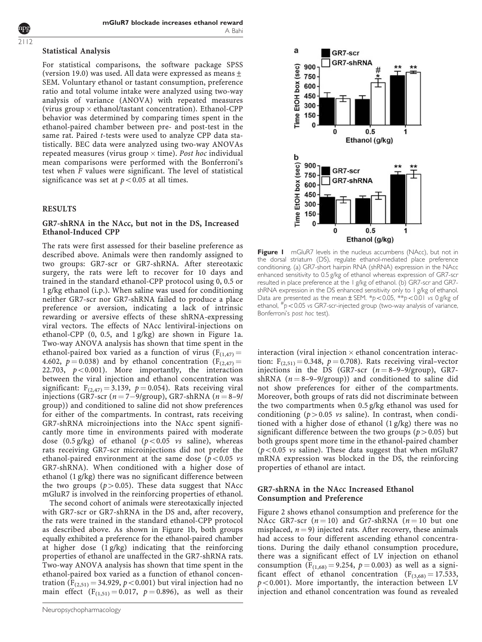For statistical comparisons, the software package SPSS (version 19.0) was used. All data were expressed as means  $\pm$ SEM. Voluntary ethanol or tastant consumption, preference ratio and total volume intake were analyzed using two-way analysis of variance (ANOVA) with repeated measures (virus group  $\times$  ethanol/tastant concentration). Ethanol-CPP behavior was determined by comparing times spent in the ethanol-paired chamber between pre- and post-test in the same rat. Paired t-tests were used to analyze CPP data statistically. BEC data were analyzed using two-way ANOVAs repeated measures (virus group  $\times$  time). Post hoc individual mean comparisons were performed with the Bonferroni's test when F values were significant. The level of statistical significance was set at  $p < 0.05$  at all times.

#### RESULTS

#### GR7-shRNA in the NAcc, but not in the DS, Increased Ethanol-Induced CPP

The rats were first assessed for their baseline preference as described above. Animals were then randomly assigned to two groups: GR7-scr or GR7-shRNA. After stereotaxic surgery, the rats were left to recover for 10 days and trained in the standard ethanol-CPP protocol using 0, 0.5 or 1 g/kg ethanol (i.p.). When saline was used for conditioning neither GR7-scr nor GR7-shRNA failed to produce a place preference or aversion, indicating a lack of intrinsic rewarding or aversive effects of these shRNA-expressing viral vectors. The effects of NAcc lentiviral-injections on ethanol-CPP (0, 0.5, and 1 g/kg) are shown in Figure 1a. Two-way ANOVA analysis has shown that time spent in the ethanol-paired box varied as a function of virus ( $F_{(1,47)} =$ 4.602,  $p = 0.038$ ) and by ethanol concentration (F<sub>(2,47)</sub> = 22.703,  $p < 0.001$ ). More importantly, the interaction between the viral injection and ethanol concentration was significant:  $F_{(2,47)} = 3.139$ ,  $p = 0.054$ ). Rats receiving viral injections (GR7-scr  $(n=7-9/\text{group})$ , GR7-shRNA  $(n=8-9/\text{sup})$ group)) and conditioned to saline did not show preferences for either of the compartments. In contrast, rats receiving GR7-shRNA microinjections into the NAcc spent significantly more time in environments paired with moderate dose (0.5 g/kg) of ethanol ( $p < 0.05$  vs saline), whereas rats receiving GR7-scr microinjections did not prefer the ethanol-paired environment at the same dose ( $p < 0.05$  vs GR7-shRNA). When conditioned with a higher dose of ethanol (1 g/kg) there was no significant difference between the two groups ( $p>0.05$ ). These data suggest that NAcc mGluR7 is involved in the reinforcing properties of ethanol.

The second cohort of animals were stereotaxically injected with GR7-scr or GR7-shRNA in the DS and, after recovery, the rats were trained in the standard ethanol-CPP protocol as described above. As shown in Figure 1b, both groups equally exhibited a preference for the ethanol-paired chamber at higher dose (1 g/kg) indicating that the reinforcing properties of ethanol are unaffected in the GR7-shRNA rats. Two-way ANOVA analysis has shown that time spent in the ethanol-paired box varied as a function of ethanol concentration ( $F_{(2,51)} = 34.929$ ,  $p < 0.001$ ) but viral injection had no main effect  $(F_{(1,51)} = 0.017, p = 0.896)$ , as well as their



Figure I mGluR7 levels in the nucleus accumbens (NAcc), but not in the dorsal striatum (DS), regulate ethanol-mediated place preference conditioning. (a) GR7-short hairpin RNA (shRNA) expression in the NAcc enhanced sensitivity to 0.5 g/kg of ethanol whereas expression of GR7-scr resulted in place preference at the 1 g/kg of ethanol. (b) GR7-scr and GR7 shRNA expression in the DS enhanced sensitivity only to 1 g/kg of ethanol. Data are presented as the mean  $\pm$  SEM.  $*p < 0.05$ ,  $*p < 0.01$  vs 0 g/kg of ethanol,  $\#_{p}$  < 0.05 vs GR7-scr-injected group (two-way analysis of variance, Bonferroni's post hoc test).

interaction (viral injection  $\times$  ethanol concentration interaction:  $F_{(2,51)} = 0.348$ ,  $p = 0.708$ ). Rats receiving viral–vector injections in the DS (GR7-scr  $(n = 8-9-9/group)$ , GR7shRNA  $(n = 8-9-9/$ group)) and conditioned to saline did not show preferences for either of the compartments. Moreover, both groups of rats did not discriminate between the two compartments when 0.5 g/kg ethanol was used for conditioning ( $p>0.05$  vs saline). In contrast, when conditioned with a higher dose of ethanol (1 g/kg) there was no significant difference between the two groups ( $p > 0.05$ ) but both groups spent more time in the ethanol-paired chamber ( $p$ <0.05 vs saline). These data suggest that when mGluR7 mRNA expression was blocked in the DS, the reinforcing properties of ethanol are intact.

#### GR7-shRNA in the NAcc Increased Ethanol Consumption and Preference

Figure 2 shows ethanol consumption and preference for the NAcc GR7-scr  $(n = 10)$  and Gr7-shRNA  $(n = 10)$  but one misplaced,  $n = 9$ ) injected rats. After recovery, these animals had access to four different ascending ethanol concentrations. During the daily ethanol consumption procedure, there was a significant effect of LV injection on ethanol consumption ( $F_{(1,68)} = 9.254$ ,  $p = 0.003$ ) as well as a significant effect of ethanol concentration  $(F_{(3,68)} = 17.533)$ ,  $p<0.001$ ). More importantly, the interaction between LV injection and ethanol concentration was found as revealed

2112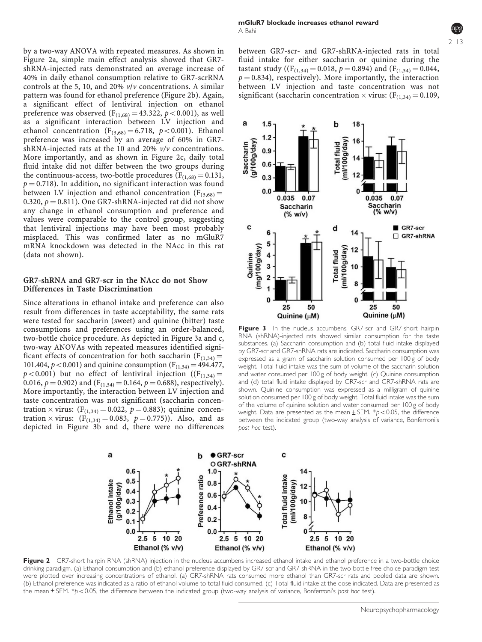by a two-way ANOVA with repeated measures. As shown in Figure 2a, simple main effect analysis showed that GR7 shRNA-injected rats demonstrated an average increase of 40% in daily ethanol consumption relative to GR7-scrRNA controls at the 5, 10, and 20% v/v concentrations. A similar pattern was found for ethanol preference (Figure 2b). Again, a significant effect of lentiviral injection on ethanol preference was observed  $(F_{(1,68)} = 43.322, p < 0.001)$ , as well as a significant interaction between LV injection and ethanol concentration ( $F_{(3,68)} = 6.718$ ,  $p < 0.001$ ). Ethanol preference was increased by an average of 60% in GR7 shRNA-injected rats at the 10 and 20% v/v concentrations. More importantly, and as shown in Figure 2c, daily total fluid intake did not differ between the two groups during the continuous-access, two-bottle procedures ( $F_{(1,68)} = 0.131$ ,  $p = 0.718$ ). In addition, no significant interaction was found between LV injection and ethanol concentration ( $F_{(3,68)} =$ 0.320,  $p = 0.811$ ). One GR7-shRNA-injected rat did not show any change in ethanol consumption and preference and values were comparable to the control group, suggesting that lentiviral injections may have been most probably misplaced. This was confirmed later as no mGluR7 mRNA knockdown was detected in the NAcc in this rat (data not shown).

#### GR7-shRNA and GR7-scr in the NAcc do not Show Differences in Taste Discrimination

Since alterations in ethanol intake and preference can also result from differences in taste acceptability, the same rats were tested for saccharin (sweet) and quinine (bitter) taste consumptions and preferences using an order-balanced, two-bottle choice procedure. As depicted in Figure 3a and c, two-way ANOVAs with repeated measures identified significant effects of concentration for both saccharin ( $F_{(1,34)} =$ 101.404,  $p < 0.001$ ) and quinine consumption (F<sub>(1,34)</sub> = 494.477,  $p < 0.001$ ) but no effect of lentiviral injection ((F<sub>(1,34)</sub> = 0.016,  $p = 0.902$ ) and (F<sub>(1,34)</sub> = 0.164,  $p = 0.688$ ), respectively). More importantly, the interaction between LV injection and taste concentration was not significant (saccharin concentration  $\times$  virus: (F<sub>(1,34)</sub> = 0.022,  $p = 0.883$ ); quinine concentration  $\times$  virus:  $(F_{(1,34)} = 0.083, p = 0.775)$ . Also, and as depicted in Figure 3b and d, there were no differences 2113

between GR7-scr- and GR7-shRNA-injected rats in total fluid intake for either saccharin or quinine during the tastant study (( $F_{(1,34)} = 0.018$ ,  $p = 0.894$ ) and ( $F_{(1,34)} = 0.044$ ,  $p = 0.834$ ), respectively). More importantly, the interaction between LV injection and taste concentration was not significant (saccharin concentration  $\times$  virus: (F<sub>(1,34)</sub> = 0.109,



Figure 3 In the nucleus accumbens, GR7-scr and GR7-short hairpin RNA (shRNA)-injected rats showed similar consumption for the taste substances. (a) Saccharin consumption and (b) total fluid intake displayed by GR7-scr and GR7-shRNA rats are indicated. Saccharin consumption was expressed as a gram of saccharin solution consumed per 100 g of body weight. Total fluid intake was the sum of volume of the saccharin solution and water consumed per 100 g of body weight. (c) Quinine consumption and (d) total fluid intake displayed by GR7-scr and GR7-shRNA rats are shown. Quinine consumption was expressed as a milligram of quinine solution consumed per 100 g of body weight. Total fluid intake was the sum of the volume of quinine solution and water consumed per 100 g of body weight. Data are presented as the mean  $\pm$  SEM. \*p < 0.05, the difference between the indicated group (two-way analysis of variance, Bonferroni's post hoc test).



Figure 2 GR7-short hairpin RNA (shRNA) injection in the nucleus accumbens increased ethanol intake and ethanol preference in a two-bottle choice drinking paradigm. (a) Ethanol consumption and (b) ethanol preference displayed by GR7-scr and GR7-shRNA in the two-bottle free-choice paradigm test were plotted over increasing concentrations of ethanol. (a) GR7-shRNA rats consumed more ethanol than GR7-scr rats and pooled data are shown. (b) Ethanol preference was indicated as a ratio of ethanol volume to total fluid consumed. (c) Total fluid intake at the dose indicated. Data are presented as the mean ± SEM. \*p<0.05, the difference between the indicated group (two-way analysis of variance, Bonferroni's post hoc test).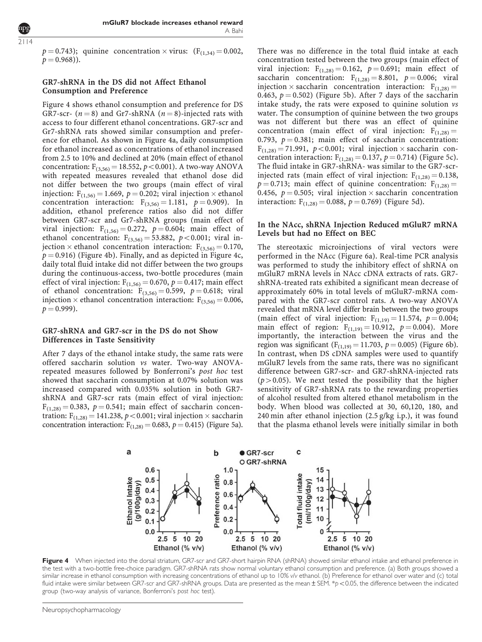2114

 $p = 0.743$ ); quinine concentration  $\times$  virus: (F<sub>(1,34)</sub> = 0.002,  $p = 0.968$ ).

# GR7-shRNA in the DS did not Affect Ethanol Consumption and Preference

Figure 4 shows ethanol consumption and preference for DS GR7-scr-  $(n = 8)$  and Gr7-shRNA  $(n = 8)$ -injected rats with access to four different ethanol concentrations. GR7-scr and Gr7-shRNA rats showed similar consumption and preference for ethanol. As shown in Figure 4a, daily consumption for ethanol increased as concentrations of ethanol increased from 2.5 to 10% and declined at 20% (main effect of ethanol concentration:  $F_{(3,56)} = 18.552, p < 0.001$ ). A two-way ANOVA with repeated measures revealed that ethanol dose did not differ between the two groups (main effect of viral injection:  $F_{(1,56)} = 1.669$ ,  $p = 0.202$ ; viral injection  $\times$  ethanol concentration interaction:  $F_{(3,56)} = 1.181, p = 0.909$ . In addition, ethanol preference ratios also did not differ between GR7-scr and Gr7-shRNA groups (main effect of viral injection:  $F_{(1,56)} = 0.272$ ,  $p = 0.604$ ; main effect of ethanol concentration:  $F_{(3,56)} = 53.882$ ,  $p < 0.001$ ; viral injection  $\times$  ethanol concentration interaction: F<sub>(3,56)</sub> = 0.170,  $p = 0.916$ ) (Figure 4b). Finally, and as depicted in Figure 4c, daily total fluid intake did not differ between the two groups during the continuous-access, two-bottle procedures (main effect of viral injection:  $F_{(1,56)} = 0.670$ ,  $p = 0.417$ ; main effect of ethanol concentration:  $F_{(3,56)} = 0.599$ ,  $p = 0.618$ ; viral injection  $\times$  ethanol concentration interaction:  $F_{(3,56)} = 0.006$ ,  $p = 0.999$ ).

## GR7-shRNA and GR7-scr in the DS do not Show Differences in Taste Sensitivity

After 7 days of the ethanol intake study, the same rats were offered saccharin solution vs water. Two-way ANOVArepeated measures followed by Bonferroni's post hoc test showed that saccharin consumption at 0.07% solution was increased compared with 0.035% solution in both GR7 shRNA and GR7-scr rats (main effect of viral injection:  $F_{(1,28)} = 0.383$ ,  $p = 0.541$ ; main effect of saccharin concentration:  $F_{(1,28)} = 141.238$ ,  $p < 0.001$ ; viral injection  $\times$  saccharin concentration interaction:  $F_{(1,28)} = 0.683$ ,  $p = 0.415$ ) (Figure 5a).

There was no difference in the total fluid intake at each concentration tested between the two groups (main effect of viral injection:  $F_{(1,28)} = 0.162$ ,  $p = 0.691$ ; main effect of saccharin concentration:  $F_{(1,28)} = 8.801$ ,  $p = 0.006$ ; viral injection  $\times$  saccharin concentration interaction:  $F_{(1,28)} =$ 0.463,  $p = 0.502$ ) (Figure 5b). After 7 days of the saccharin intake study, the rats were exposed to quinine solution vs water. The consumption of quinine between the two groups was not different but there was an effect of quinine concentration (main effect of viral injection:  $F_{(1,28)} =$ 0.793,  $p = 0.381$ ; main effect of saccharin concentration:  $F_{(1,28)} = 71.991$ ,  $p < 0.001$ ; viral injection  $\times$  saccharin concentration interaction:  $F_{(1,28)} = 0.137$ ,  $p = 0.714$ ) (Figure 5c). The fluid intake in GR7-shRNA- was similar to the GR7-scrinjected rats (main effect of viral injection:  $F_{(1,28)} = 0.138$ ,  $p = 0.713$ ; main effect of quinine concentration:  $F_{(1,28)} =$ 0.456,  $p = 0.505$ ; viral injection  $\times$  saccharin concentration interaction:  $F_{(1,28)} = 0.088$ ,  $p = 0.769$ ) (Figure 5d).

## In the NAcc, shRNA Injection Reduced mGluR7 mRNA Levels but had no Effect on BEC

The stereotaxic microinjections of viral vectors were performed in the NAcc (Figure 6a). Real-time PCR analysis was performed to study the inhibitory effect of shRNA on mGluR7 mRNA levels in NAcc cDNA extracts of rats. GR7 shRNA-treated rats exhibited a significant mean decrease of approximately 60% in total levels of mGluR7-mRNA compared with the GR7-scr control rats. A two-way ANOVA revealed that mRNA level differ brain between the two groups (main effect of viral injection:  $F_{(1,19)} = 11.574$ ,  $p = 0.004$ ; main effect of region:  $F_{(1,19)} = 10.912$ ,  $p = 0.004$ ). More importantly, the interaction between the virus and the region was significant ( $F_{(1,19)} = 11.703$ ,  $p = 0.005$ ) (Figure 6b). In contrast, when DS cDNA samples were used to quantify mGluR7 levels from the same rats, there was no significant difference between GR7-scr- and GR7-shRNA-injected rats  $(p>0.05)$ . We next tested the possibility that the higher sensitivity of GR7-shRNA rats to the rewarding properties of alcohol resulted from altered ethanol metabolism in the body. When blood was collected at 30, 60,120, 180, and 240 min after ethanol injection (2.5 g/kg i.p.), it was found that the plasma ethanol levels were initially similar in both



Figure 4 When injected into the dorsal striatum, GR7-scr and GR7-short hairpin RNA (shRNA) showed similar ethanol intake and ethanol preference in the test with a two-bottle free-choice paradigm. GR7-shRNA rats show normal voluntary ethanol consumption and preference. (a) Both groups showed a similar increase in ethanol consumption with increasing concentrations of ethanol up to 10% v/v ethanol. (b) Preference for ethanol over water and (c) total fluid intake were similar between GR7-scr and GR7-shRNA groups. Data are presented as the mean  $\pm$  SEM. \*p < 0.05, the difference between the indicated group (two-way analysis of variance, Bonferroni's post hoc test).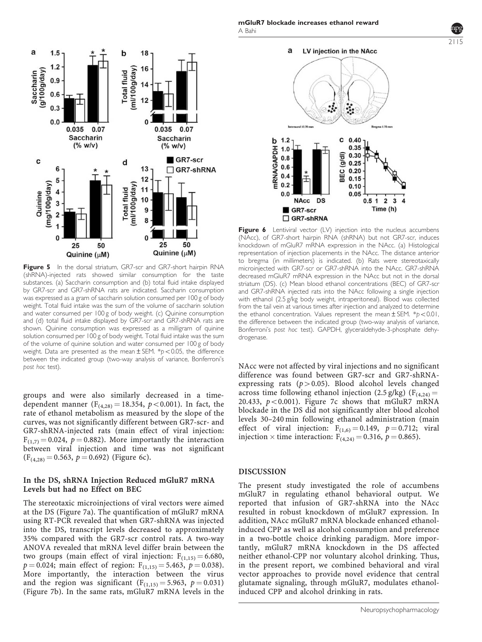

Figure 5 In the dorsal striatum, GR7-scr and GR7-short hairpin RNA (shRNA)-injected rats showed similar consumption for the taste substances. (a) Saccharin consumption and (b) total fluid intake displayed by GR7-scr and GR7-shRNA rats are indicated. Saccharin consumption was expressed as a gram of saccharin solution consumed per 100 g of body weight. Total fluid intake was the sum of the volume of saccharin solution and water consumed per 100 g of body weight. (c) Quinine consumption and (d) total fluid intake displayed by GR7-scr and GR7-shRNA rats are shown. Quinine consumption was expressed as a milligram of quinine solution consumed per 100 g of body weight. Total fluid intake was the sum of the volume of quinine solution and water consumed per 100 g of body weight. Data are presented as the mean  $\pm$  SEM. \*p < 0.05, the difference between the indicated group (two-way analysis of variance, Bonferroni's post hoc test).

groups and were also similarly decreased in a timedependent manner ( $F_{(4,28)} = 18.354$ ,  $p < 0.001$ ). In fact, the rate of ethanol metabolism as measured by the slope of the curves, was not significantly different between GR7-scr- and GR7-shRNA-injected rats (main effect of viral injection:  $F_{(1,7)} = 0.024$ ,  $p = 0.882$ ). More importantly the interaction between viral injection and time was not significant  $(F_{(4,28)} = 0.563, p = 0.692)$  (Figure 6c).

#### In the DS, shRNA Injection Reduced mGluR7 mRNA Levels but had no Effect on BEC

The stereotaxic microinjections of viral vectors were aimed at the DS (Figure 7a). The quantification of mGluR7 mRNA using RT-PCR revealed that when GR7-shRNA was injected into the DS, transcript levels decreased to approximately 35% compared with the GR7-scr control rats. A two-way ANOVA revealed that mRNA level differ brain between the two groups (main effect of viral injection:  $F_{(1,15)} = 6.680$ ,  $p = 0.024$ ; main effect of region:  $F_{(1,15)} = 5.463$ ,  $p = 0.038$ ). More importantly, the interaction between the virus and the region was significant  $(F_{(1,15)} = 5.963, p = 0.031)$ (Figure 7b). In the same rats, mGluR7 mRNA levels in the





Figure 6 Lentiviral vector (LV) injection into the nucleus accumbens (NAcc), of GR7-short hairpin RNA (shRNA) but not GR7-scr, induces knockdown of mGluR7 mRNA expression in the NAcc. (a) Histological representation of injection placements in the NAcc. The distance anterior to bregma (in millimeters) is indicated. (b) Rats were stereotaxically microinjected with GR7-scr or GR7-shRNA into the NAcc. GR7-shRNA decreased mGluR7 mRNA expression in the NAcc but not in the dorsal striatum (DS). (c) Mean blood ethanol concentrations (BEC) of GR7-scr and GR7-shRNA injected rats into the NAcc following a single injection with ethanol (2.5 g/kg body weight, intraperitoneal). Blood was collected from the tail vein at various times after injection and analyzed to determine the ethanol concentration. Values represent the mean  $\pm$  SEM. \*p < 0.01, the difference between the indicated group (two-way analysis of variance, Bonferroni's post hoc test). GAPDH, glyceraldehyde-3-phosphate dehydrogenase.

NAcc were not affected by viral injections and no significant difference was found between GR7-scr and GR7-shRNAexpressing rats  $(p>0.05)$ . Blood alcohol levels changed across time following ethanol injection (2.5 g/kg) ( $F_{(4,24)} =$ 20.433,  $p < 0.001$ ). Figure 7c shows that mGluR7 mRNA blockade in the DS did not significantly alter blood alcohol levels 30–240 min following ethanol administration (main effect of viral injection:  $F_{(1,6)} = 0.149$ ,  $p = 0.712$ ; viral injection  $\times$  time interaction: F<sub>(4,24)</sub> = 0.316, p = 0.865).

#### DISCUSSION

The present study investigated the role of accumbens mGluR7 in regulating ethanol behavioral output. We reported that infusion of GR7-shRNA into the NAcc resulted in robust knockdown of mGluR7 expression. In addition, NAcc mGluR7 mRNA blockade enhanced ethanolinduced CPP as well as alcohol consumption and preference in a two-bottle choice drinking paradigm. More importantly, mGluR7 mRNA knockdown in the DS affected neither ethanol-CPP nor voluntary alcohol drinking. Thus, in the present report, we combined behavioral and viral vector approaches to provide novel evidence that central glutamate signaling, through mGluR7, modulates ethanolinduced CPP and alcohol drinking in rats.

2115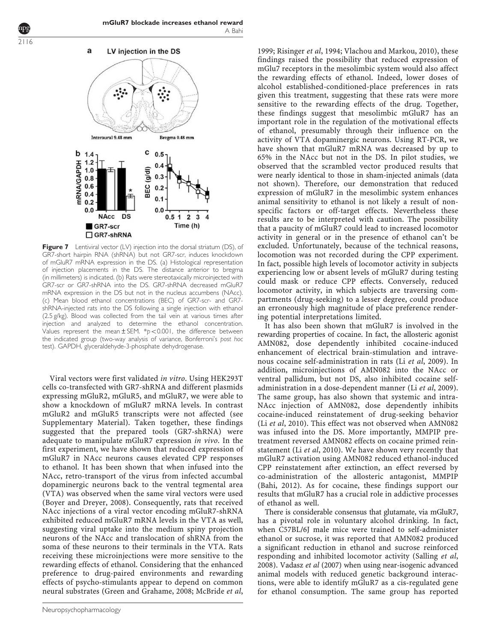

**Figure 7** Lentiviral vector (LV) injection into the dorsal striatum (DS), of GR7-short hairpin RNA (shRNA) but not GR7-scr, induces knockdown of mGluR7 mRNA expression in the DS. (a) Histological representation of injection placements in the DS. The distance anterior to bregma (in millimeters) is indicated. (b) Rats were stereotaxically microinjected with GR7-scr or GR7-shRNA into the DS. GR7-shRNA decreased mGluR7 mRNA expression in the DS but not in the nucleus accumbens (NAcc). (c) Mean blood ethanol concentrations (BEC) of GR7-scr- and GR7 shRNA-injected rats into the DS following a single injection with ethanol (2.5 g/kg). Blood was collected from the tail vein at various times after injection and analyzed to determine the ethanol concentration. Values represent the mean  $\pm$  SEM. \*p<0.001, the difference between the indicated group (two-way analysis of variance, Bonferroni's post hoc test). GAPDH, glyceraldehyde-3-phosphate dehydrogenase.

Viral vectors were first validated in vitro. Using HEK293T cells co-transfected with GR7-shRNA and different plasmids expressing mGluR2, mGluR5, and mGluR7, we were able to show a knockdown of mGluR7 mRNA levels. In contrast mGluR2 and mGluR5 transcripts were not affected (see Supplementary Material). Taken together, these findings suggested that the prepared tools (GR7-shRNA) were adequate to manipulate mGluR7 expression in vivo. In the first experiment, we have shown that reduced expression of mGluR7 in NAcc neurons causes elevated CPP responses to ethanol. It has been shown that when infused into the NAcc, retro-transport of the virus from infected accumbal dopaminergic neurons back to the ventral tegmental area (VTA) was observed when the same viral vectors were used (Boyer and Dreyer, 2008). Consequently, rats that received NAcc injections of a viral vector encoding mGluR7-shRNA exhibited reduced mGluR7 mRNA levels in the VTA as well, suggesting viral uptake into the medium spiny projection neurons of the NAcc and translocation of shRNA from the soma of these neurons to their terminals in the VTA. Rats receiving these microinjections were more sensitive to the rewarding effects of ethanol. Considering that the enhanced preference to drug-paired environments and rewarding effects of psycho-stimulants appear to depend on common neural substrates (Green and Grahame, 2008; McBride et al,

1999; Risinger et al, 1994; Vlachou and Markou, 2010), these findings raised the possibility that reduced expression of mGlu7 receptors in the mesolimbic system would also affect the rewarding effects of ethanol. Indeed, lower doses of alcohol established-conditioned-place preferences in rats given this treatment, suggesting that these rats were more sensitive to the rewarding effects of the drug. Together, these findings suggest that mesolimbic mGluR7 has an important role in the regulation of the motivational effects of ethanol, presumably through their influence on the activity of VTA dopaminergic neurons. Using RT-PCR, we have shown that mGluR7 mRNA was decreased by up to 65% in the NAcc but not in the DS. In pilot studies, we observed that the scrambled vector produced results that were nearly identical to those in sham-injected animals (data not shown). Therefore, our demonstration that reduced expression of mGluR7 in the mesolimbic system enhances animal sensitivity to ethanol is not likely a result of nonspecific factors or off-target effects. Nevertheless these results are to be interpreted with caution. The possibility that a paucity of mGluR7 could lead to increased locomotor activity in general or in the presence of ethanol can't be excluded. Unfortunately, because of the technical reasons, locomotion was not recorded during the CPP experiment. In fact, possible high levels of locomotor activity in subjects experiencing low or absent levels of mGluR7 during testing could mask or reduce CPP effects. Conversely, reduced locomotor activity, in which subjects are traversing compartments (drug-seeking) to a lesser degree, could produce an erroneously high magnitude of place preference rendering potential interpretations limited.

It has also been shown that mGluR7 is involved in the rewarding properties of cocaine. In fact, the allosteric agonist AMN082, dose dependently inhibited cocaine-induced enhancement of electrical brain-stimulation and intravenous cocaine self-administration in rats (Li et al, 2009). In addition, microinjections of AMN082 into the NAcc or ventral pallidum, but not DS, also inhibited cocaine selfadministration in a dose-dependent manner (Li et al, 2009). The same group, has also shown that systemic and intra-NAcc injection of AMN082, dose dependently inhibits cocaine-induced reinstatement of drug-seeking behavior (Li et al, 2010). This effect was not observed when AMN082 was infused into the DS. More importantly, MMPIP pretreatment reversed AMN082 effects on cocaine primed reinstatement (Li et al, 2010). We have shown very recently that mGluR7 activation using AMN082 reduced ethanol-induced CPP reinstatement after extinction, an effect reversed by co-administration of the allosteric antagonist, MMPIP (Bahi, 2012). As for cocaine, these findings support our results that mGluR7 has a crucial role in addictive processes of ethanol as well.

There is considerable consensus that glutamate, via mGluR7, has a pivotal role in voluntary alcohol drinking. In fact, when C57BL/6J male mice were trained to self-administer ethanol or sucrose, it was reported that AMN082 produced a significant reduction in ethanol and sucrose reinforced responding and inhibited locomotor activity (Salling et al, 2008). Vadasz et al (2007) when using near-isogenic advanced animal models with reduced genetic background interactions, were able to identify mGluR7 as a cis-regulated gene for ethanol consumption. The same group has reported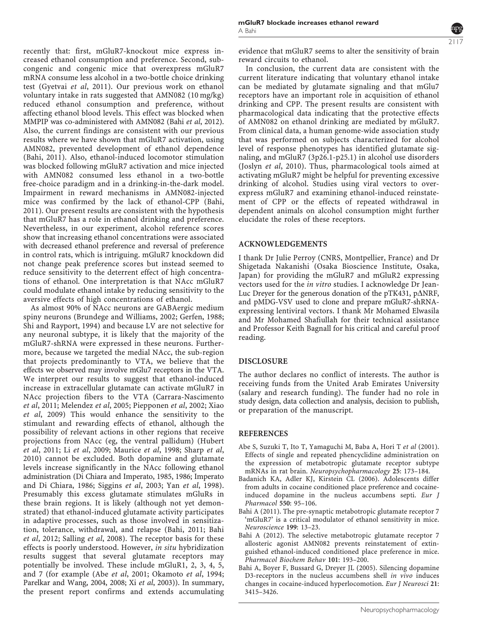recently that: first, mGluR7-knockout mice express increased ethanol consumption and preference. Second, subcongenic and congenic mice that overexpress mGluR7 mRNA consume less alcohol in a two-bottle choice drinking test (Gyetvai et al, 2011). Our previous work on ethanol voluntary intake in rats suggested that AMN082 (10 mg/kg) reduced ethanol consumption and preference, without affecting ethanol blood levels. This effect was blocked when MMPIP was co-administered with AMN082 (Bahi et al, 2012). Also, the current findings are consistent with our previous results where we have shown that mGluR7 activation, using AMN082, prevented development of ethanol dependence (Bahi, 2011). Also, ethanol-induced locomotor stimulation was blocked following mGluR7 activation and mice injected with AMN082 consumed less ethanol in a two-bottle free-choice paradigm and in a drinking-in-the-dark model. Impairment in reward mechanisms in AMN082-injected mice was confirmed by the lack of ethanol-CPP (Bahi, 2011). Our present results are consistent with the hypothesis that mGluR7 has a role in ethanol drinking and preference. Nevertheless, in our experiment, alcohol reference scores show that increasing ethanol concentrations were associated with decreased ethanol preference and reversal of preference in control rats, which is intriguing. mGluR7 knockdown did not change peak preference scores but instead seemed to reduce sensitivity to the deterrent effect of high concentrations of ethanol. One interpretation is that NAcc mGluR7 could modulate ethanol intake by reducing sensitivity to the aversive effects of high concentrations of ethanol.

As almost 90% of NAcc neurons are GABAergic medium spiny neurons (Brundege and Williams, 2002; Gerfen, 1988; Shi and Rayport, 1994) and because LV are not selective for any neuronal subtype, it is likely that the majority of the mGluR7-shRNA were expressed in these neurons. Furthermore, because we targeted the medial NAcc, the sub-region that projects predominantly to VTA, we believe that the effects we observed may involve mGlu7 receptors in the VTA. We interpret our results to suggest that ethanol-induced increase in extracellular glutamate can activate mGluR7 in NAcc projection fibers to the VTA (Carrara-Nascimento et al, 2011; Melendez et al, 2005; Piepponen et al, 2002; Xiao et al, 2009) This would enhance the sensitivity to the stimulant and rewarding effects of ethanol, although the possibility of relevant actions in other regions that receive projections from NAcc (eg, the ventral pallidum) (Hubert et al, 2011; Li et al, 2009; Maurice et al, 1998; Sharp et al, 2010) cannot be excluded. Both dopamine and glutamate levels increase significantly in the NAcc following ethanol administration (Di Chiara and Imperato, 1985, 1986; Imperato and Di Chiara, 1986; Siggins et al, 2003; Yan et al, 1998). Presumably this excess glutamate stimulates mGluRs in these brain regions. It is likely (although not yet demonstrated) that ethanol-induced glutamate activity participates in adaptive processes, such as those involved in sensitization, tolerance, withdrawal, and relapse (Bahi, 2011; Bahi et al, 2012; Salling et al, 2008). The receptor basis for these effects is poorly understood. However, in situ hybridization results suggest that several glutamate receptors may potentially be involved. These include mGluR1, 2, 3, 4, 5, and 7 (for example (Abe et al, 2001; Okamoto et al, 1994; Parelkar and Wang, 2004, 2008; Xi et al, 2003)). In summary, the present report confirms and extends accumulating evidence that mGluR7 seems to alter the sensitivity of brain reward circuits to ethanol.

In conclusion, the current data are consistent with the current literature indicating that voluntary ethanol intake can be mediated by glutamate signaling and that mGlu7 receptors have an important role in acquisition of ethanol drinking and CPP. The present results are consistent with pharmacological data indicating that the protective effects of AMN082 on ethanol drinking are mediated by mGluR7. From clinical data, a human genome-wide association study that was performed on subjects characterized for alcohol level of response phenotypes has identified glutamate signaling, and mGluR7 (3p26.1-p25.1) in alcohol use disorders (Joslyn et al, 2010). Thus, pharmacological tools aimed at activating mGluR7 might be helpful for preventing excessive drinking of alcohol. Studies using viral vectors to overexpress mGluR7 and examining ethanol-induced reinstatement of CPP or the effects of repeated withdrawal in dependent animals on alcohol consumption might further elucidate the roles of these receptors.

# ACKNOWLEDGEMENTS

I thank Dr Julie Perroy (CNRS, Montpellier, France) and Dr Shigetada Nakanishi (Osaka Bioscience Institute, Osaka, Japan) for providing the mGluR7 and mGluR2 expressing vectors used for the in vitro studies. I acknowledge Dr Jean-Luc Dreyer for the generous donation of the pTK431, p $\triangle$ NRF, and pMDG-VSV used to clone and prepare mGluR7-shRNAexpressing lentiviral vectors. I thank Mr Mohamed Elwasila and Mr Mohamed Shafiullah for their technical assistance and Professor Keith Bagnall for his critical and careful proof reading.

# DISCLOSURE

The author declares no conflict of interests. The author is receiving funds from the United Arab Emirates University (salary and research funding). The funder had no role in study design, data collection and analysis, decision to publish, or preparation of the manuscript.

# REFERENCES

- Abe S, Suzuki T, Ito T, Yamaguchi M, Baba A, Hori T et al (2001). Effects of single and repeated phencyclidine administration on the expression of metabotropic glutamate receptor subtype mRNAs in rat brain. Neuropsychopharmacology 25: 173–184.
- Badanich KA, Adler KJ, Kirstein CL (2006). Adolescents differ from adults in cocaine conditioned place preference and cocaineinduced dopamine in the nucleus accumbens septi. Eur J Pharmacol 550: 95–106.
- Bahi A (2011). The pre-synaptic metabotropic glutamate receptor 7 'mGluR7' is a critical modulator of ethanol sensitivity in mice. Neuroscience 199: 13–23.
- Bahi A (2012). The selective metabotropic glutamate receptor 7 allosteric agonist AMN082 prevents reinstatement of extinguished ethanol-induced conditioned place preference in mice. Pharmacol Biochem Behav 101: 193–200.
- Bahi A, Boyer F, Bussard G, Dreyer JL (2005). Silencing dopamine D3-receptors in the nucleus accumbens shell in vivo induces changes in cocaine-induced hyperlocomotion. Eur J Neurosci 21: 3415–3426.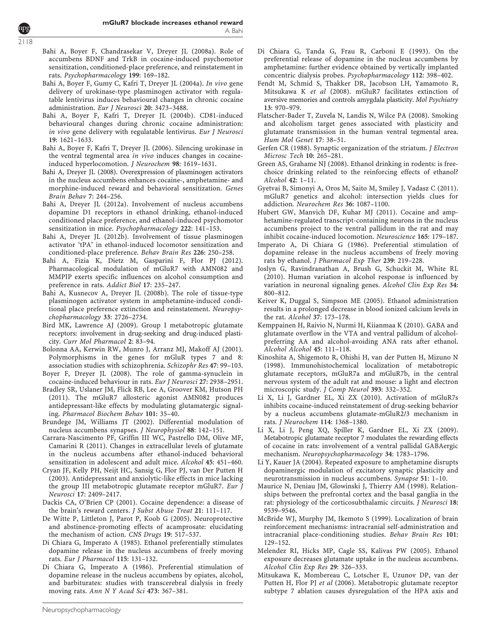- Bahi A, Boyer F, Chandrasekar V, Dreyer JL (2008a). Role of accumbens BDNF and TrkB in cocaine-induced psychomotor sensitization, conditioned-place preference, and reinstatement in rats. Psychopharmacology 199: 169–182.
- Bahi A, Boyer F, Gumy C, Kafri T, Dreyer JL (2004a). In vivo gene delivery of urokinase-type plasminogen activator with regulatable lentivirus induces behavioural changes in chronic cocaine administration. Eur J Neurosci 20: 3473–3488.
- Bahi A, Boyer F, Kafri T, Dreyer JL (2004b). CD81-induced behavioural changes during chronic cocaine administration: in vivo gene delivery with regulatable lentivirus. Eur J Neurosci 19: 1621–1633.
- Bahi A, Boyer F, Kafri T, Dreyer JL (2006). Silencing urokinase in the ventral tegmental area in vivo induces changes in cocaineinduced hyperlocomotion. J Neurochem 98: 1619–1631.
- Bahi A, Dreyer JL (2008). Overexpression of plasminogen activators in the nucleus accumbens enhances cocaine-, amphetamine- and morphine-induced reward and behavioral sensitization. Genes Brain Behav 7: 244–256.
- Bahi A, Dreyer JL (2012a). Involvement of nucleus accumbens dopamine D1 receptors in ethanol drinking, ethanol-induced conditioned place preference, and ethanol-induced psychomotor sensitization in mice. Psychopharmacology 222: 141–153.
- Bahi A, Dreyer JL (2012b). Involvement of tissue plasminogen activator 'tPA' in ethanol-induced locomotor sensitization and conditioned-place preference. Behav Brain Res 226: 250–258.
- Bahi A, Fizia K, Dietz M, Gasparini F, Flor PJ (2012). Pharmacological modulation of mGluR7 with AMN082 and MMPIP exerts specific influences on alcohol consumption and preference in rats. Addict Biol 17: 235–247.
- Bahi A, Kusnecov A, Dreyer JL (2008b). The role of tissue-type plasminogen activator system in amphetamine-induced conditional place preference extinction and reinstatement. Neuropsychopharmacology 33: 2726–2734.
- Bird MK, Lawrence AJ (2009). Group I metabotropic glutamate receptors: involvement in drug-seeking and drug-induced plasticity. Curr Mol Pharmacol 2: 83–94.
- Bolonna AA, Kerwin RW, Munro J, Arranz MJ, Makoff AJ (2001). Polymorphisms in the genes for mGluR types 7 and 8: association studies with schizophrenia. Schizophr Res 47: 99–103.
- Boyer F, Dreyer JL (2008). The role of gamma-synuclein in cocaine-induced behaviour in rats. Eur J Neurosci 27: 2938–2951.
- Bradley SR, Uslaner JM, Flick RB, Lee A, Groover KM, Hutson PH (2011). The mGluR7 allosteric agonist AMN082 produces antidepressant-like effects by modulating glutamatergic signaling. Pharmacol Biochem Behav 101: 35–40.
- Brundege JM, Williams JT (2002). Differential modulation of nucleus accumbens synapses. J Neurophysiol 88: 142–151.
- Carrara-Nascimento PF, Griffin III WC, Pastrello DM, Olive MF, Camarini R (2011). Changes in extracellular levels of glutamate in the nucleus accumbens after ethanol-induced behavioral sensitization in adolescent and adult mice. Alcohol 45: 451–460.
- Cryan JF, Kelly PH, Neijt HC, Sansig G, Flor PJ, van Der Putten H (2003). Antidepressant and anxiolytic-like effects in mice lacking the group III metabotropic glutamate receptor mGluR7. Eur J Neurosci 17: 2409–2417.
- Dackis CA, O'Brien CP (2001). Cocaine dependence: a disease of the brain's reward centers. J Subst Abuse Treat 21: 111–117.
- De Witte P, Littleton J, Parot P, Koob G (2005). Neuroprotective and abstinence-promoting effects of acamprosate: elucidating the mechanism of action. CNS Drugs 19: 517–537.
- Di Chiara G, Imperato A (1985). Ethanol preferentially stimulates dopamine release in the nucleus accumbens of freely moving rats. Eur J Pharmacol 115: 131–132.
- Di Chiara G, Imperato A (1986). Preferential stimulation of dopamine release in the nucleus accumbens by opiates, alcohol, and barbiturates: studies with transcerebral dialysis in freely moving rats. Ann N Y Acad Sci 473: 367–381.
- Di Chiara G, Tanda G, Frau R, Carboni E (1993). On the preferential release of dopamine in the nucleus accumbens by amphetamine: further evidence obtained by vertically implanted concentric dialysis probes. Psychopharmacology 112: 398–402.
- Fendt M, Schmid S, Thakker DR, Jacobson LH, Yamamoto R, Mitsukawa K et al (2008). mGluR7 facilitates extinction of aversive memories and controls amygdala plasticity. Mol Psychiatry 13: 970–979.
- Flatscher-Bader T, Zuvela N, Landis N, Wilce PA (2008). Smoking and alcoholism target genes associated with plasticity and glutamate transmission in the human ventral tegmental area. Hum Mol Genet 17: 38–51.
- Gerfen CR (1988). Synaptic organization of the striatum. J Electron Microsc Tech 10: 265–281.
- Green AS, Grahame NJ (2008). Ethanol drinking in rodents: is freechoice drinking related to the reinforcing effects of ethanol? Alcohol 42: 1–11.
- Gyetvai B, Simonyi A, Oros M, Saito M, Smiley J, Vadasz C (2011). mGluR7 genetics and alcohol: intersection yields clues for addiction. Neurochem Res 36: 1087–1100.
- Hubert GW, Manvich DF, Kuhar MJ (2011). Cocaine and amphetamine-regulated transcript-containing neurons in the nucleus accumbens project to the ventral pallidum in the rat and may inhibit cocaine-induced locomotion. Neuroscience 165: 179–187.
- Imperato A, Di Chiara G (1986). Preferential stimulation of dopamine release in the nucleus accumbens of freely moving rats by ethanol. J Pharmacol Exp Ther 239: 219–228.
- Joslyn G, Ravindranathan A, Brush G, Schuckit M, White RL (2010). Human variation in alcohol response is influenced by variation in neuronal signaling genes. Alcohol Clin Exp Res 34: 800–812.
- Keiver K, Duggal S, Simpson ME (2005). Ethanol administration results in a prolonged decrease in blood ionized calcium levels in the rat. Alcohol 37: 173–178.
- Kemppainen H, Raivio N, Nurmi H, Kiianmaa K (2010). GABA and glutamate overflow in the VTA and ventral pallidum of alcoholpreferring AA and alcohol-avoiding ANA rats after ethanol. Alcohol Alcohol 45: 111–118.
- Kinoshita A, Shigemoto R, Ohishi H, van der Putten H, Mizuno N (1998). Immunohistochemical localization of metabotropic glutamate receptors, mGluR7a and mGluR7b, in the central nervous system of the adult rat and mouse: a light and electron microscopic study. J Comp Neurol 393: 332–352.
- Li X, Li J, Gardner EL, Xi ZX (2010). Activation of mGluR7s inhibits cocaine-induced reinstatement of drug-seeking behavior by a nucleus accumbens glutamate-mGluR2/3 mechanism in rats. J Neurochem 114: 1368–1380.
- Li X, Li J, Peng XQ, Spiller K, Gardner EL, Xi ZX (2009). Metabotropic glutamate receptor 7 modulates the rewarding effects of cocaine in rats: involvement of a ventral pallidal GABAergic mechanism. Neuropsychopharmacology 34: 1783–1796.
- Li Y, Kauer JA (2004). Repeated exposure to amphetamine disrupts dopaminergic modulation of excitatory synaptic plasticity and neurotransmission in nucleus accumbens. Synapse 51: 1–10.
- Maurice N, Deniau JM, Glowinski J, Thierry AM (1998). Relationships between the prefrontal cortex and the basal ganglia in the rat: physiology of the corticosubthalamic circuits. J Neurosci 18: 9539–9546.
- McBride WJ, Murphy JM, Ikemoto S (1999). Localization of brain reinforcement mechanisms: intracranial self-administration and intracranial place-conditioning studies. Behav Brain Res 101: 129–152.
- Melendez RI, Hicks MP, Cagle SS, Kalivas PW (2005). Ethanol exposure decreases glutamate uptake in the nucleus accumbens. Alcohol Clin Exp Res 29: 326–333.
- Mitsukawa K, Mombereau C, Lotscher E, Uzunov DP, van der Putten H, Flor PJ et al (2006). Metabotropic glutamate receptor subtype 7 ablation causes dysregulation of the HPA axis and